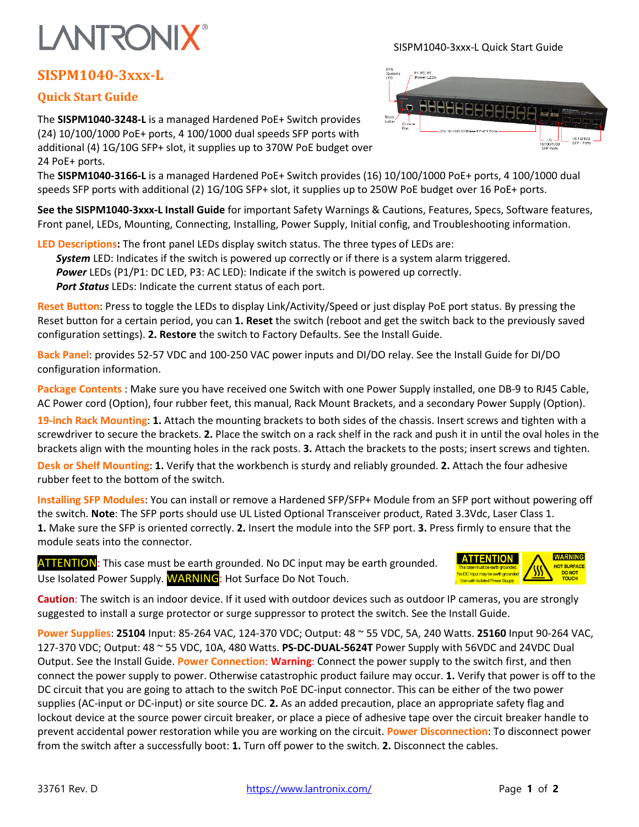## **LANTRONIX®**

## **SISPM1040-3xxx-L**

## **Quick Start Guide**

The **SISPM1040-3248-L** is a managed Hardened PoE+ Switch provides (24) 10/100/1000 PoE+ ports, 4 100/1000 dual speeds SFP ports with additional (4) 1G/10G SFP+ slot, it supplies up to 370W PoE budget over 24 PoE+ ports.

The **SISPM1040-3166-L** is a managed Hardened PoE+ Switch provides (16) 10/100/1000 PoE+ ports, 4 100/1000 dual speeds SFP ports with additional (2) 1G/10G SFP+ slot, it supplies up to 250W PoE budget over 16 PoE+ ports.

**See the SISPM1040-3xxx-L Install Guide** for important Safety Warnings & Cautions, Features, Specs, Software features, Front panel, LEDs, Mounting, Connecting, Installing, Power Supply, Initial config, and Troubleshooting information.

**LED Descriptions:** The front panel LEDs display switch status. The three types of LEDs are: *System* LED: Indicates if the switch is powered up correctly or if there is a system alarm triggered. *Power* LEDs (P1/P1: DC LED, P3: AC LED): Indicate if the switch is powered up correctly. *Port Status* LEDs: Indicate the current status of each port.

**Reset Button**: Press to toggle the LEDs to display Link/Activity/Speed or just display PoE port status. By pressing the Reset button for a certain period, you can **1. Reset** the switch (reboot and get the switch back to the previously saved configuration settings). **2. Restore** the switch to Factory Defaults. See the Install Guide.

**Back Panel**: provides 52-57 VDC and 100-250 VAC power inputs and DI/DO relay. See the Install Guide for DI/DO configuration information.

**Package Contents** : Make sure you have received one Switch with one Power Supply installed, one DB-9 to RJ45 Cable, AC Power cord (Option), four rubber feet, this manual, Rack Mount Brackets, and a secondary Power Supply (Option).

**19-inch Rack Mounting**: **1.** Attach the mounting brackets to both sides of the chassis. Insert screws and tighten with a screwdriver to secure the brackets. **2.** Place the switch on a rack shelf in the rack and push it in until the oval holes in the brackets align with the mounting holes in the rack posts. **3.** Attach the brackets to the posts; insert screws and tighten.

**Desk or Shelf Mounting**: **1.** Verify that the workbench is sturdy and reliably grounded. **2.** Attach the four adhesive rubber feet to the bottom of the switch.

**Installing SFP Modules**: You can install or remove a Hardened SFP/SFP+ Module from an SFP port without powering off the switch. **Note**: The SFP ports should use UL Listed Optional Transceiver product, Rated 3.3Vdc, Laser Class 1. **1.** Make sure the SFP is oriented correctly. **2.** Insert the module into the SFP port. **3.** Press firmly to ensure that the module seats into the connector.

ATTENTION: This case must be earth grounded. No DC input may be earth grounded. Use Isolated Power Supply. WARNING: Hot Surface Do Not Touch.

**Caution**: The switch is an indoor device. If it used with outdoor devices such as outdoor IP cameras, you are strongly suggested to install a surge protector or surge suppressor to protect the switch. See the Install Guide.

**Power Supplies**: **25104** Input: 85-264 VAC, 124-370 VDC; Output: 48 ~ 55 VDC, 5A, 240 Watts. **25160** Input 90-264 VAC, 127-370 VDC; Output: 48 ~ 55 VDC, 10A, 480 Watts. **PS-DC-DUAL-5624T** Power Supply with 56VDC and 24VDC Dual Output. See the Install Guide. **Power Connection**: **Warning**: Connect the power supply to the switch first, and then connect the power supply to power. Otherwise catastrophic product failure may occur. **1.** Verify that power is off to the DC circuit that you are going to attach to the switch PoE DC-input connector. This can be either of the two power supplies (AC-input or DC-input) or site source DC. **2.** As an added precaution, place an appropriate safety flag and lockout device at the source power circuit breaker, or place a piece of adhesive tape over the circuit breaker handle to prevent accidental power restoration while you are working on the circuit. **Power Disconnection**: To disconnect power from the switch after a successfully boot: **1.** Turn off power to the switch. **2.** Disconnect the cables.



SISPM1040-3xxx-L Quick Start Guide



**WARNING**